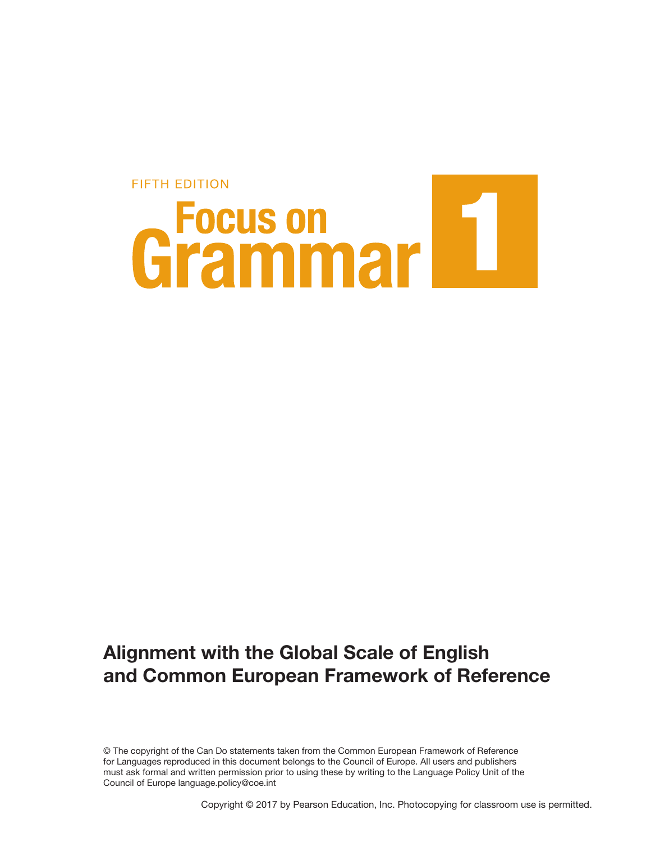# **FIFTH EDITION** Grammar<sup>11</sup>

### Alignment with the Global Scale of English and Common European Framework of Reference

© The copyright of the Can Do statements taken from the Common European Framework of Reference for Languages reproduced in this document belongs to the Council of Europe. All users and publishers must ask formal and written permission prior to using these by writing to the Language Policy Unit of the Council of Europe language.policy@coe.int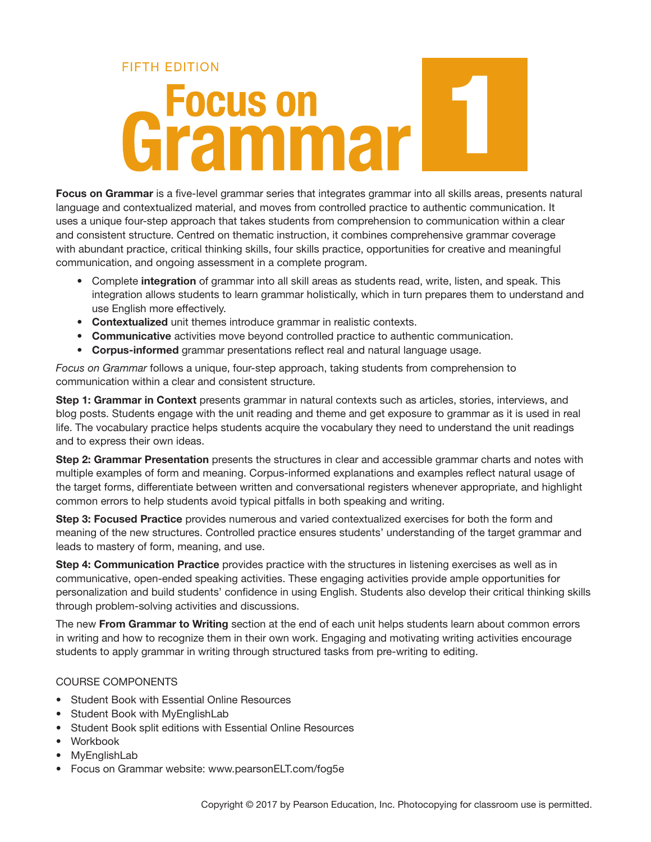# **FIFTH FDITION Grammar**

Focus on Grammar is a five-level grammar series that integrates grammar into all skills areas, presents natural language and contextualized material, and moves from controlled practice to authentic communication. It uses a unique four-step approach that takes students from comprehension to communication within a clear and consistent structure. Centred on thematic instruction, it combines comprehensive grammar coverage with abundant practice, critical thinking skills, four skills practice, opportunities for creative and meaningful communication, and ongoing assessment in a complete program.

- Complete integration of grammar into all skill areas as students read, write, listen, and speak. This integration allows students to learn grammar holistically, which in turn prepares them to understand and use English more effectively.
- Contextualized unit themes introduce grammar in realistic contexts.
- Communicative activities move beyond controlled practice to authentic communication.
- Corpus-informed grammar presentations reflect real and natural language usage.

*Focus on Grammar* follows a unique, four-step approach, taking students from comprehension to communication within a clear and consistent structure.

Step 1: Grammar in Context presents grammar in natural contexts such as articles, stories, interviews, and blog posts. Students engage with the unit reading and theme and get exposure to grammar as it is used in real life. The vocabulary practice helps students acquire the vocabulary they need to understand the unit readings and to express their own ideas.

Step 2: Grammar Presentation presents the structures in clear and accessible grammar charts and notes with multiple examples of form and meaning. Corpus-informed explanations and examples reflect natural usage of the target forms, differentiate between written and conversational registers whenever appropriate, and highlight common errors to help students avoid typical pitfalls in both speaking and writing.

Step 3: Focused Practice provides numerous and varied contextualized exercises for both the form and meaning of the new structures. Controlled practice ensures students' understanding of the target grammar and leads to mastery of form, meaning, and use.

Step 4: Communication Practice provides practice with the structures in listening exercises as well as in communicative, open-ended speaking activities. These engaging activities provide ample opportunities for personalization and build students' confidence in using English. Students also develop their critical thinking skills through problem-solving activities and discussions.

The new From Grammar to Writing section at the end of each unit helps students learn about common errors in writing and how to recognize them in their own work. Engaging and motivating writing activities encourage students to apply grammar in writing through structured tasks from pre-writing to editing.

### COURSE COMPONENTS

- Student Book with Essential Online Resources
- Student Book with MyEnglishLab
- Student Book split editions with Essential Online Resources
- Workbook
- MyEnglishLab
- Focus on Grammar website: www.pearsonELT.com/fog5e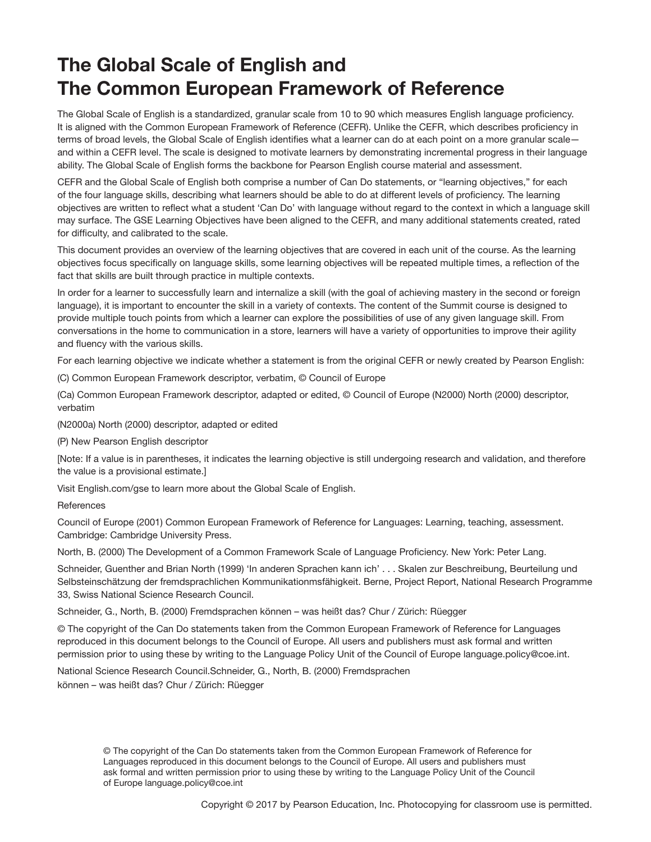### The Global Scale of English and The Common European Framework of Reference

The Global Scale of English is a standardized, granular scale from 10 to 90 which measures English language proficiency. It is aligned with the Common European Framework of Reference (CEFR). Unlike the CEFR, which describes proficiency in terms of broad levels, the Global Scale of English identifies what a learner can do at each point on a more granular scale and within a CEFR level. The scale is designed to motivate learners by demonstrating incremental progress in their language ability. The Global Scale of English forms the backbone for Pearson English course material and assessment.

CEFR and the Global Scale of English both comprise a number of Can Do statements, or "learning objectives," for each of the four language skills, describing what learners should be able to do at different levels of proficiency. The learning objectives are written to reflect what a student 'Can Do' with language without regard to the context in which a language skill may surface. The GSE Learning Objectives have been aligned to the CEFR, and many additional statements created, rated for difficulty, and calibrated to the scale.

This document provides an overview of the learning objectives that are covered in each unit of the course. As the learning objectives focus specifically on language skills, some learning objectives will be repeated multiple times, a reflection of the fact that skills are built through practice in multiple contexts.

In order for a learner to successfully learn and internalize a skill (with the goal of achieving mastery in the second or foreign language), it is important to encounter the skill in a variety of contexts. The content of the Summit course is designed to provide multiple touch points from which a learner can explore the possibilities of use of any given language skill. From conversations in the home to communication in a store, learners will have a variety of opportunities to improve their agility and fluency with the various skills.

For each learning objective we indicate whether a statement is from the original CEFR or newly created by Pearson English:

(C) Common European Framework descriptor, verbatim, © Council of Europe

(Ca) Common European Framework descriptor, adapted or edited, © Council of Europe (N2000) North (2000) descriptor, verbatim

(N2000a) North (2000) descriptor, adapted or edited

(P) New Pearson English descriptor

[Note: If a value is in parentheses, it indicates the learning objective is still undergoing research and validation, and therefore the value is a provisional estimate.]

Visit English.com/gse to learn more about the Global Scale of English.

**References** 

Council of Europe (2001) Common European Framework of Reference for Languages: Learning, teaching, assessment. Cambridge: Cambridge University Press.

North, B. (2000) The Development of a Common Framework Scale of Language Proficiency. New York: Peter Lang.

Schneider, Guenther and Brian North (1999) 'In anderen Sprachen kann ich' . . . Skalen zur Beschreibung, Beurteilung und Selbsteinschätzung der fremdsprachlichen Kommunikationmsfähigkeit. Berne, Project Report, National Research Programme 33, Swiss National Science Research Council.

Schneider, G., North, B. (2000) Fremdsprachen können – was heißt das? Chur / Zürich: Rüegger

© The copyright of the Can Do statements taken from the Common European Framework of Reference for Languages reproduced in this document belongs to the Council of Europe. All users and publishers must ask formal and written permission prior to using these by writing to the Language Policy Unit of the Council of Europe language.policy@coe.int.

National Science Research Council.Schneider, G., North, B. (2000) Fremdsprachen können – was heißt das? Chur / Zürich: Rüegger

> © The copyright of the Can Do statements taken from the Common European Framework of Reference for Languages reproduced in this document belongs to the Council of Europe. All users and publishers must ask formal and written permission prior to using these by writing to the Language Policy Unit of the Council of Europe language.policy@coe.int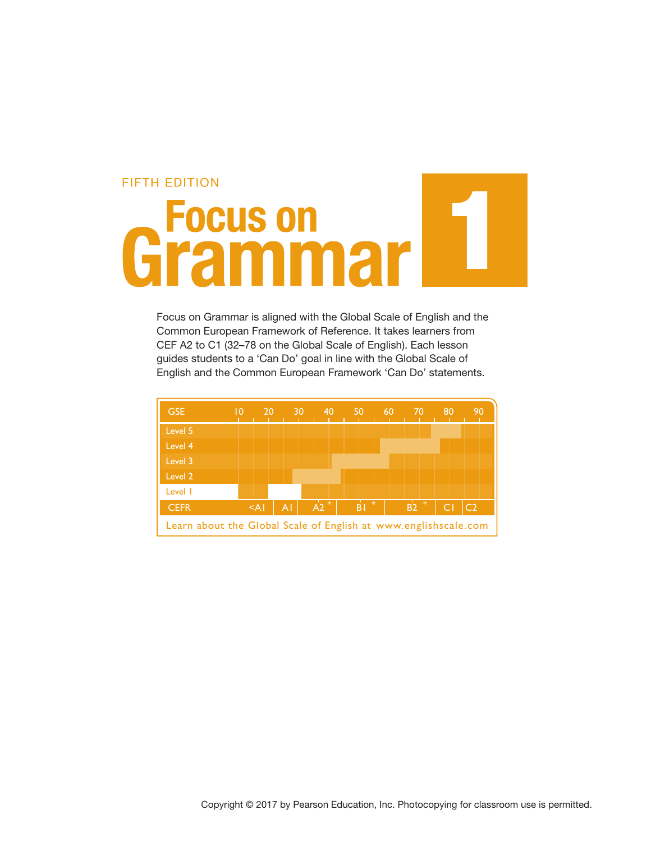# **FIFTH EDITION** Grammar

Focus on Grammar is aligned with the Global Scale of English and the Common European Framework of Reference. It takes learners from CEF A2 to C1 (32–78 on the Global Scale of English). Each lesson guides students to a 'Can Do' goal in line with the Global Scale of English and the Common European Framework 'Can Do' statements.

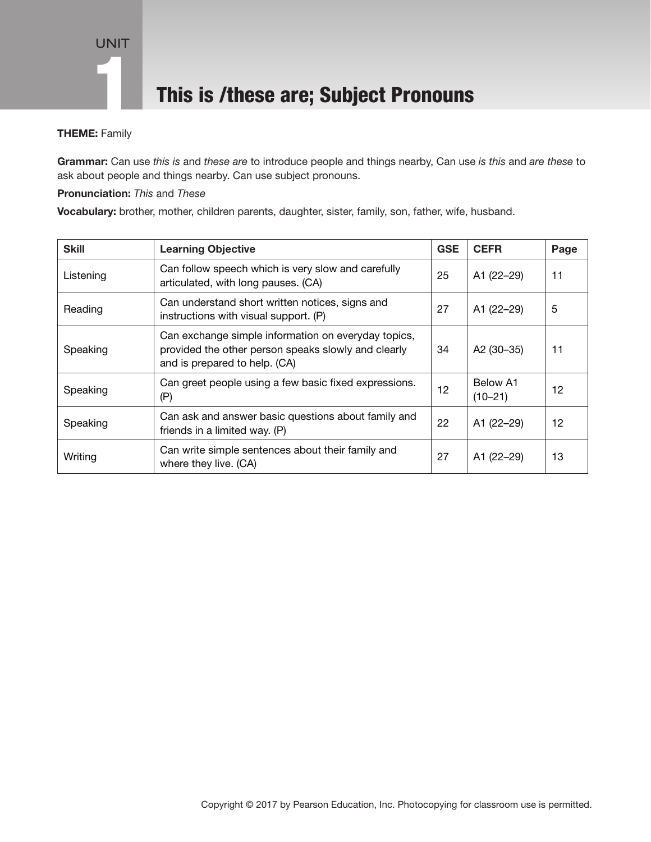### This is /these are; Subject Pronouns

### THEME: Family

Grammar: Can use *this is* and *these are* to introduce people and things nearby, Can use *is this* and *are these* to ask about people and things nearby. Can use subject pronouns.

### Pronunciation: *This* and *These*

Vocabulary: brother, mother, children parents, daughter, sister, family, son, father, wife, husband.

| <b>Skill</b> | <b>Learning Objective</b>                                                                                                                   | <b>GSE</b> | <b>CEFR</b>             | Page |
|--------------|---------------------------------------------------------------------------------------------------------------------------------------------|------------|-------------------------|------|
| Listening    | Can follow speech which is very slow and carefully<br>articulated, with long pauses. (CA)                                                   | 25         | A1 (22-29)              | 11   |
| Reading      | Can understand short written notices, signs and<br>instructions with visual support. (P)                                                    | 27         | A1 (22-29)              | 5    |
| Speaking     | Can exchange simple information on everyday topics,<br>provided the other person speaks slowly and clearly<br>and is prepared to help. (CA) | 34         | A2 (30-35)              | 11   |
| Speaking     | Can greet people using a few basic fixed expressions.<br>(P)                                                                                | 12         | Below A1<br>$(10 - 21)$ | 12   |
| Speaking     | Can ask and answer basic questions about family and<br>friends in a limited way. (P)                                                        | 22         | A1 (22-29)              | 12   |
| Writing      | Can write simple sentences about their family and<br>where they live. (CA)                                                                  | 27         | A1 (22-29)              | 13   |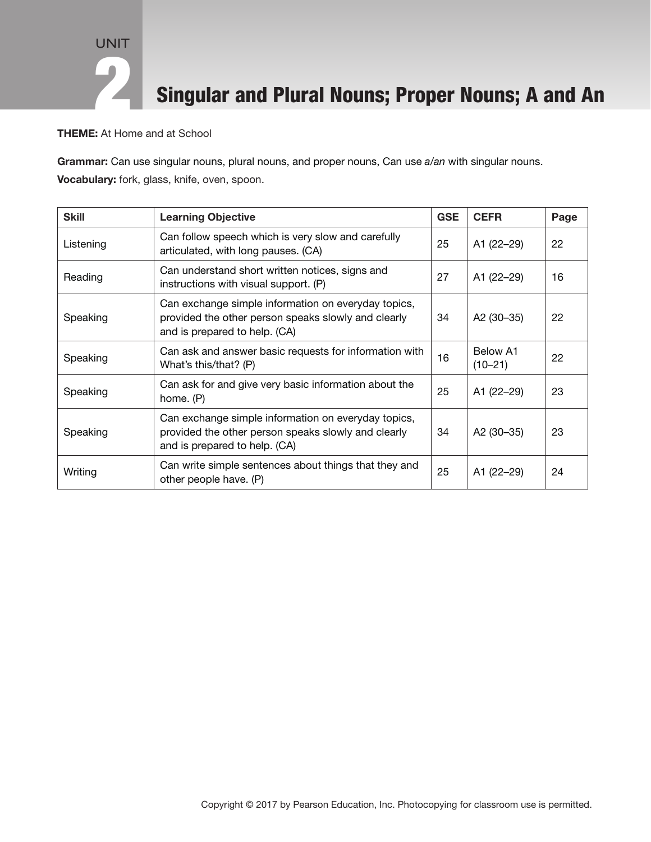### Singular and Plural Nouns; Proper Nouns; A and An

THEME: At Home and at School

Grammar: Can use singular nouns, plural nouns, and proper nouns, Can use *a/an* with singular nouns. Vocabulary: fork, glass, knife, oven, spoon.

| <b>Skill</b> | <b>Learning Objective</b>                                                                                                                   | <b>GSE</b> | <b>CEFR</b>             | Page |
|--------------|---------------------------------------------------------------------------------------------------------------------------------------------|------------|-------------------------|------|
| Listening    | Can follow speech which is very slow and carefully<br>articulated, with long pauses. (CA)                                                   | 25         | A1 (22-29)              | 22   |
| Reading      | Can understand short written notices, signs and<br>instructions with visual support. (P)                                                    | 27         | A1 (22-29)              | 16   |
| Speaking     | Can exchange simple information on everyday topics,<br>provided the other person speaks slowly and clearly<br>and is prepared to help. (CA) | 34         | A2 (30-35)              | 22   |
| Speaking     | Can ask and answer basic requests for information with<br>What's this/that? (P)                                                             | 16         | Below A1<br>$(10 - 21)$ | 22   |
| Speaking     | Can ask for and give very basic information about the<br>home. (P)                                                                          | 25         | A1 (22-29)              | 23   |
| Speaking     | Can exchange simple information on everyday topics,<br>provided the other person speaks slowly and clearly<br>and is prepared to help. (CA) | 34         | A2 (30-35)              | 23   |
| Writing      | Can write simple sentences about things that they and<br>other people have. (P)                                                             | 25         | A1 (22-29)              | 24   |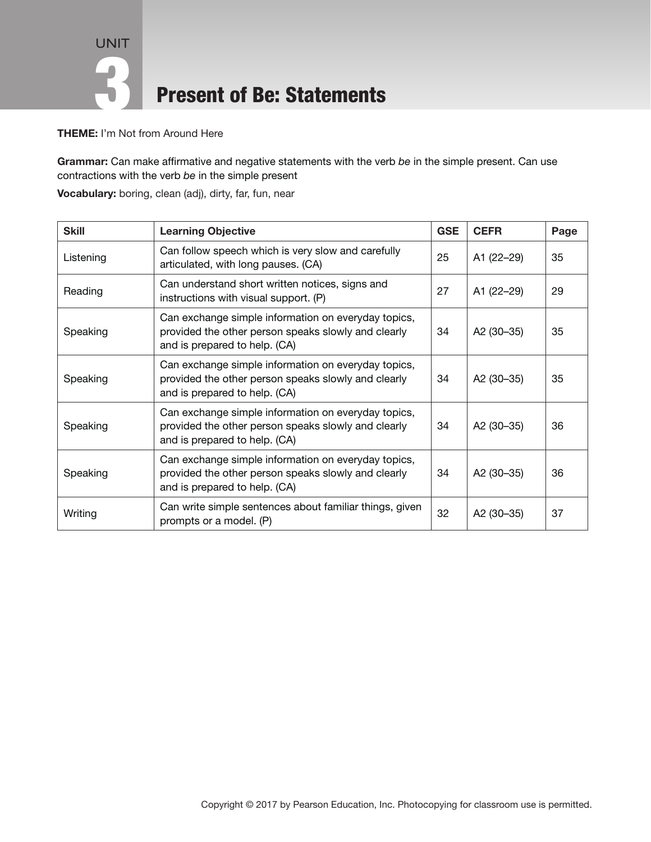UNIT 3 Present of Be: Statements

THEME: I'm Not from Around Here

Grammar: Can make affirmative and negative statements with the verb *be* in the simple present. Can use contractions with the verb *be* in the simple present

Vocabulary: boring, clean (adj), dirty, far, fun, near

| <b>Skill</b> | <b>Learning Objective</b>                                                                                                                   | <b>GSE</b> | <b>CEFR</b> | Page |
|--------------|---------------------------------------------------------------------------------------------------------------------------------------------|------------|-------------|------|
| Listening    | Can follow speech which is very slow and carefully<br>articulated, with long pauses. (CA)                                                   | 25         | A1 (22-29)  | 35   |
| Reading      | Can understand short written notices, signs and<br>instructions with visual support. (P)                                                    | 27         | A1 (22-29)  | 29   |
| Speaking     | Can exchange simple information on everyday topics,<br>provided the other person speaks slowly and clearly<br>and is prepared to help. (CA) | 34         | A2 (30-35)  | 35   |
| Speaking     | Can exchange simple information on everyday topics,<br>provided the other person speaks slowly and clearly<br>and is prepared to help. (CA) | 34         | A2 (30-35)  | 35   |
| Speaking     | Can exchange simple information on everyday topics,<br>provided the other person speaks slowly and clearly<br>and is prepared to help. (CA) | 34         | A2 (30-35)  | 36   |
| Speaking     | Can exchange simple information on everyday topics,<br>provided the other person speaks slowly and clearly<br>and is prepared to help. (CA) | 34         | A2 (30-35)  | 36   |
| Writing      | Can write simple sentences about familiar things, given<br>prompts or a model. (P)                                                          | 32         | A2 (30-35)  | 37   |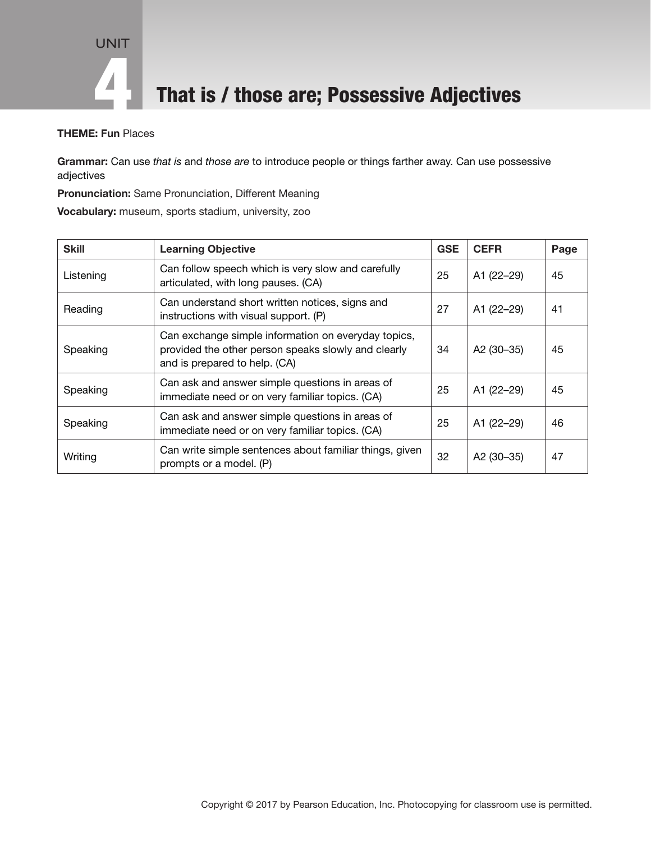

**4 That is / those are; Possessive Adjectives** 

### THEME: Fun Places

Grammar: Can use *that is* and *those are* to introduce people or things farther away. Can use possessive adjectives

Pronunciation: Same Pronunciation, Different Meaning

Vocabulary: museum, sports stadium, university, zoo

| <b>Skill</b> | <b>Learning Objective</b>                                                                                                                   | <b>GSE</b> | <b>CEFR</b> | Page |
|--------------|---------------------------------------------------------------------------------------------------------------------------------------------|------------|-------------|------|
| Listening    | Can follow speech which is very slow and carefully<br>articulated, with long pauses. (CA)                                                   | 25         | A1 (22-29)  | 45   |
| Reading      | Can understand short written notices, signs and<br>instructions with visual support. (P)                                                    | 27         | A1 (22-29)  | 41   |
| Speaking     | Can exchange simple information on everyday topics,<br>provided the other person speaks slowly and clearly<br>and is prepared to help. (CA) | 34         | A2 (30-35)  | 45   |
| Speaking     | Can ask and answer simple questions in areas of<br>immediate need or on very familiar topics. (CA)                                          | 25         | A1 (22-29)  | 45   |
| Speaking     | Can ask and answer simple questions in areas of<br>immediate need or on very familiar topics. (CA)                                          | 25         | A1 (22-29)  | 46   |
| Writing      | Can write simple sentences about familiar things, given<br>prompts or a model. (P)                                                          | 32         | A2 (30-35)  | 47   |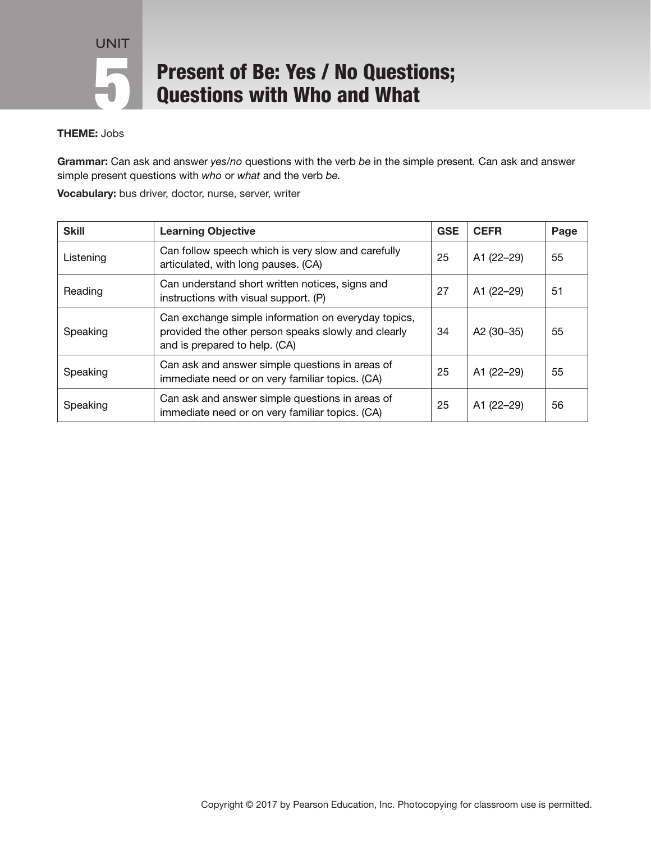# **Present of Be: Yes / No Questions;<br>
Questions with Who and What**

### THEME: Jobs

Grammar: Can ask and answer *yes/no* questions with the verb *be* in the simple present*.* Can ask and answer simple present questions with *who* or *what* and the verb *be.*

Vocabulary: bus driver, doctor, nurse, server, writer

| <b>Skill</b> | <b>Learning Objective</b>                                                                                                                   | <b>GSE</b> | <b>CEFR</b> | Page |
|--------------|---------------------------------------------------------------------------------------------------------------------------------------------|------------|-------------|------|
| Listening    | Can follow speech which is very slow and carefully<br>articulated, with long pauses. (CA)                                                   | 25         | A1 (22-29)  | 55   |
| Reading      | Can understand short written notices, signs and<br>instructions with visual support. (P)                                                    | 27         | A1 (22-29)  | 51   |
| Speaking     | Can exchange simple information on everyday topics,<br>provided the other person speaks slowly and clearly<br>and is prepared to help. (CA) | 34         | A2 (30-35)  | 55   |
| Speaking     | Can ask and answer simple questions in areas of<br>immediate need or on very familiar topics. (CA)                                          | 25         | A1 (22-29)  | 55   |
| Speaking     | Can ask and answer simple questions in areas of<br>immediate need or on very familiar topics. (CA)                                          | 25         | A1 (22-29)  | 56   |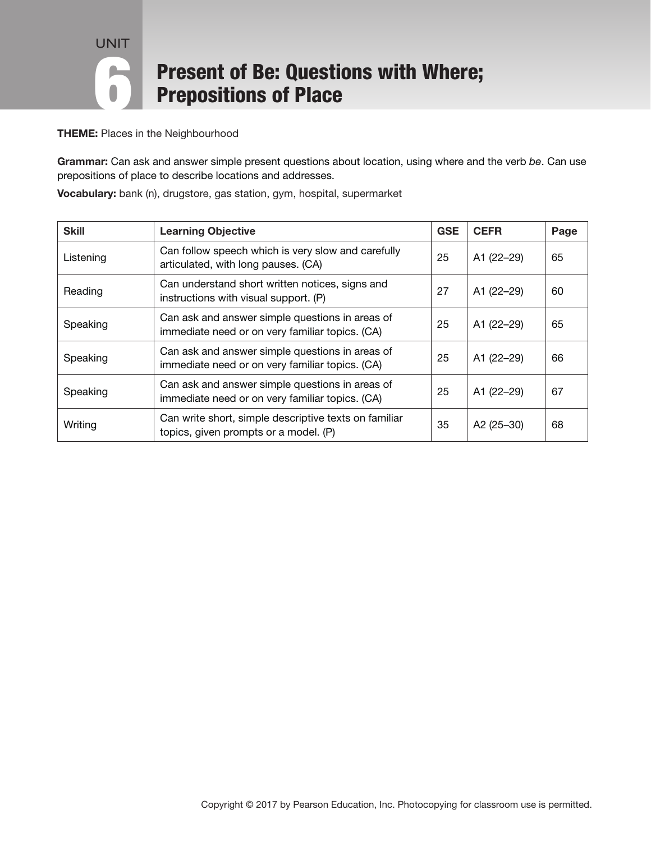# **Present of Be: Questions with Where;<br>
Prepositions of Place**

**THEME:** Places in the Neighbourhood

Grammar: Can ask and answer simple present questions about location, using where and the verb *be*. Can use prepositions of place to describe locations and addresses.

Vocabulary: bank (n), drugstore, gas station, gym, hospital, supermarket

| <b>Skill</b> | <b>Learning Objective</b>                                                                          | <b>GSE</b> | <b>CEFR</b>  | Page |
|--------------|----------------------------------------------------------------------------------------------------|------------|--------------|------|
| Listening    | Can follow speech which is very slow and carefully<br>articulated, with long pauses. (CA)          | 25         | A1 (22-29)   | 65   |
| Reading      | Can understand short written notices, signs and<br>instructions with visual support. (P)           | 27         | A1 (22-29)   | 60   |
| Speaking     | Can ask and answer simple questions in areas of<br>immediate need or on very familiar topics. (CA) | 25         | A1 (22-29)   | 65   |
| Speaking     | Can ask and answer simple questions in areas of<br>immediate need or on very familiar topics. (CA) | 25         | A1 (22-29)   | 66   |
| Speaking     | Can ask and answer simple questions in areas of<br>immediate need or on very familiar topics. (CA) | 25         | A1 (22-29)   | 67   |
| Writing      | Can write short, simple descriptive texts on familiar<br>topics, given prompts or a model. (P)     | 35         | A2 $(25-30)$ | 68   |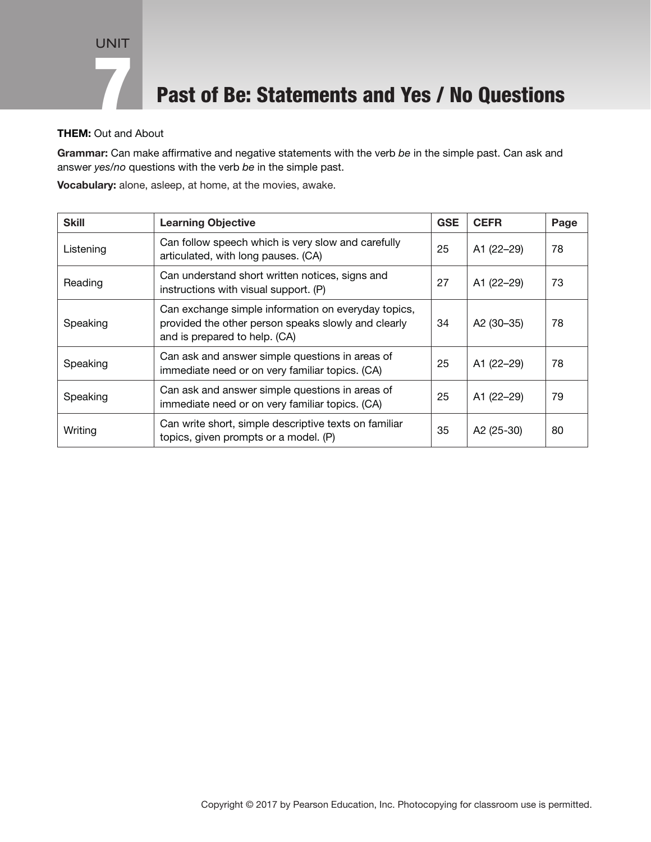### Past of Be: Statements and Yes / No Questions

### THEM: Out and About

Grammar: Can make affirmative and negative statements with the verb *be* in the simple past. Can ask and answer *yes/no* questions with the verb *be* in the simple past.

Vocabulary: alone, asleep, at home, at the movies, awake.

| <b>Skill</b> | <b>Learning Objective</b>                                                                                                                   | <b>GSE</b> | <b>CEFR</b> | Page |
|--------------|---------------------------------------------------------------------------------------------------------------------------------------------|------------|-------------|------|
| Listening    | Can follow speech which is very slow and carefully<br>articulated, with long pauses. (CA)                                                   | 25         | A1 (22-29)  | 78   |
| Reading      | Can understand short written notices, signs and<br>instructions with visual support. (P)                                                    | 27         | A1 (22-29)  | 73   |
| Speaking     | Can exchange simple information on everyday topics,<br>provided the other person speaks slowly and clearly<br>and is prepared to help. (CA) | 34         | A2 (30-35)  | 78   |
| Speaking     | Can ask and answer simple questions in areas of<br>immediate need or on very familiar topics. (CA)                                          | 25         | A1 (22-29)  | 78   |
| Speaking     | Can ask and answer simple questions in areas of<br>immediate need or on very familiar topics. (CA)                                          | 25         | A1 (22-29)  | 79   |
| Writing      | Can write short, simple descriptive texts on familiar<br>topics, given prompts or a model. (P)                                              | 35         | A2 (25-30)  | 80   |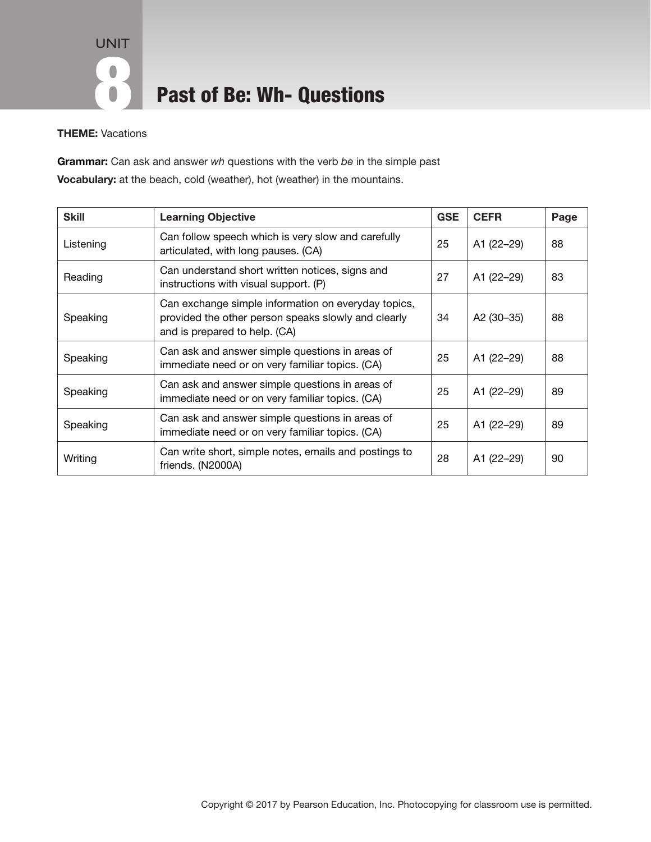UNIT 8 Past of Be: Wh- Questions

THEME: Vacations

Grammar: Can ask and answer *wh* questions with the verb *be* in the simple past Vocabulary: at the beach, cold (weather), hot (weather) in the mountains.

| <b>Skill</b> | <b>Learning Objective</b>                                                                                                                   | <b>GSE</b> | <b>CEFR</b> | Page |
|--------------|---------------------------------------------------------------------------------------------------------------------------------------------|------------|-------------|------|
| Listening    | Can follow speech which is very slow and carefully<br>articulated, with long pauses. (CA)                                                   | 25         | A1 (22-29)  | 88   |
| Reading      | Can understand short written notices, signs and<br>instructions with visual support. (P)                                                    | 27         | A1 (22–29)  | 83   |
| Speaking     | Can exchange simple information on everyday topics,<br>provided the other person speaks slowly and clearly<br>and is prepared to help. (CA) | 34         | A2 (30-35)  | 88   |
| Speaking     | Can ask and answer simple questions in areas of<br>immediate need or on very familiar topics. (CA)                                          | 25         | A1 (22-29)  | 88   |
| Speaking     | Can ask and answer simple questions in areas of<br>immediate need or on very familiar topics. (CA)                                          | 25         | A1 (22-29)  | 89   |
| Speaking     | Can ask and answer simple questions in areas of<br>immediate need or on very familiar topics. (CA)                                          | 25         | A1 (22-29)  | 89   |
| Writing      | Can write short, simple notes, emails and postings to<br>friends. (N2000A)                                                                  | 28         | A1 (22-29)  | 90   |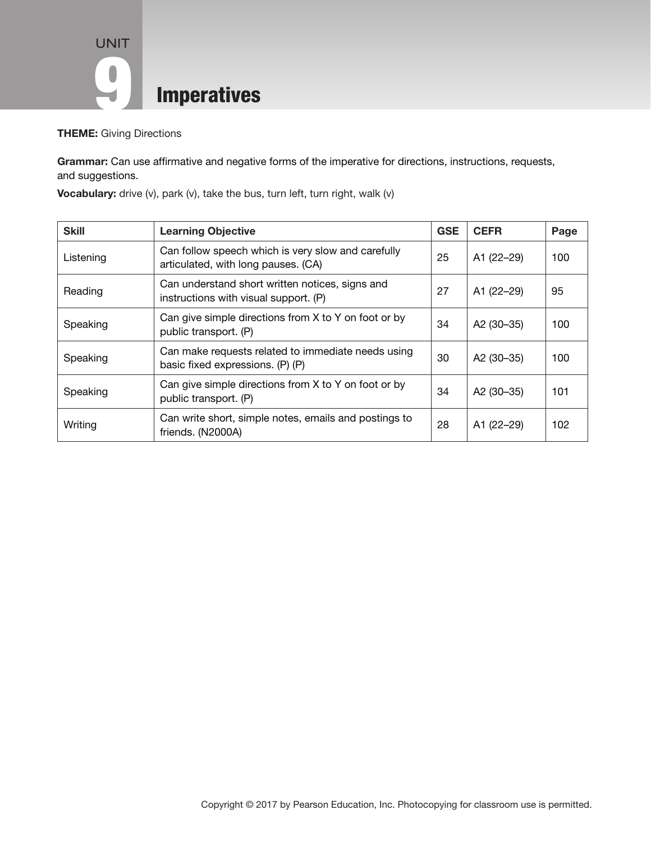

#### THEME: Giving Directions

Grammar: Can use affirmative and negative forms of the imperative for directions, instructions, requests, and suggestions.

| <b>Skill</b> | <b>Learning Objective</b>                                                                 | <b>GSE</b> | <b>CEFR</b>            | Page |
|--------------|-------------------------------------------------------------------------------------------|------------|------------------------|------|
| Listening    | Can follow speech which is very slow and carefully<br>articulated, with long pauses. (CA) | 25         | A1 (22-29)             | 100  |
| Reading      | Can understand short written notices, signs and<br>instructions with visual support. (P)  | 27         | A1 (22-29)             | 95   |
| Speaking     | Can give simple directions from X to Y on foot or by<br>public transport. (P)             | 34         | A2 (30-35)             | 100  |
| Speaking     | Can make requests related to immediate needs using<br>basic fixed expressions. (P) (P)    | 30         | A2 (30-35)             | 100  |
| Speaking     | Can give simple directions from X to Y on foot or by<br>public transport. (P)             | 34         | A <sub>2</sub> (30–35) | 101  |
| Writing      | Can write short, simple notes, emails and postings to<br>friends. (N2000A)                | 28         | A1 (22-29)             | 102  |

Vocabulary: drive (v), park (v), take the bus, turn left, turn right, walk (v)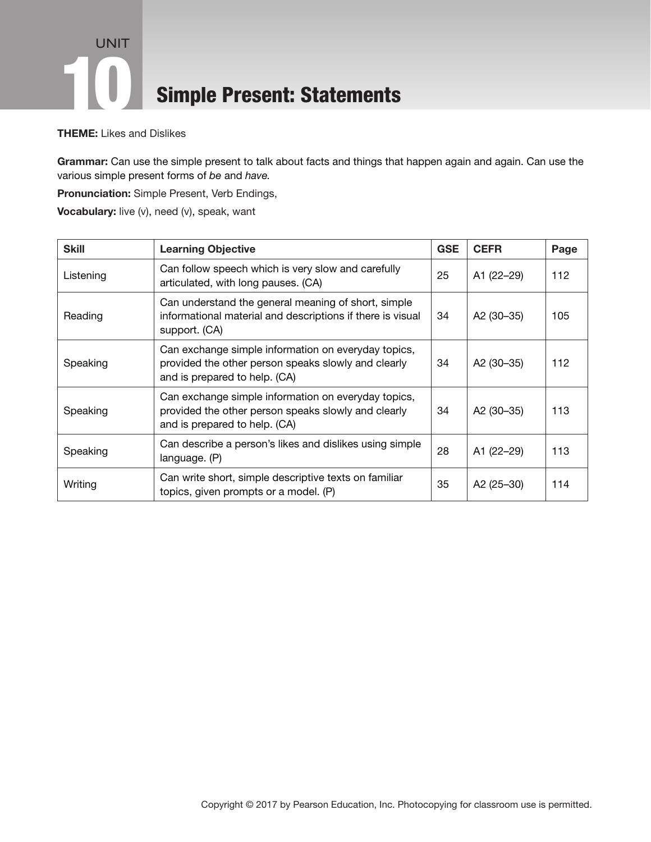### UNIT **10 Simple Present: Statements**

THEME: Likes and Dislikes

Grammar: Can use the simple present to talk about facts and things that happen again and again. Can use the various simple present forms of *be* and *have.*

Pronunciation: Simple Present, Verb Endings,

Vocabulary: live (v), need (v), speak, want

| <b>Skill</b> | <b>Learning Objective</b>                                                                                                                   | <b>GSE</b> | <b>CEFR</b>            | Page |
|--------------|---------------------------------------------------------------------------------------------------------------------------------------------|------------|------------------------|------|
| Listening    | Can follow speech which is very slow and carefully<br>articulated, with long pauses. (CA)                                                   | 25         | A1 (22-29)             | 112  |
| Reading      | Can understand the general meaning of short, simple<br>informational material and descriptions if there is visual<br>support. (CA)          | 34         | A2 (30-35)             | 105  |
| Speaking     | Can exchange simple information on everyday topics,<br>provided the other person speaks slowly and clearly<br>and is prepared to help. (CA) | 34         | A2 (30-35)             | 112  |
| Speaking     | Can exchange simple information on everyday topics,<br>provided the other person speaks slowly and clearly<br>and is prepared to help. (CA) | 34         | A <sub>2</sub> (30–35) | 113  |
| Speaking     | Can describe a person's likes and dislikes using simple<br>language. (P)                                                                    | 28         | A1 (22-29)             | 113  |
| Writing      | Can write short, simple descriptive texts on familiar<br>topics, given prompts or a model. (P)                                              | 35         | A2 (25-30)             | 114  |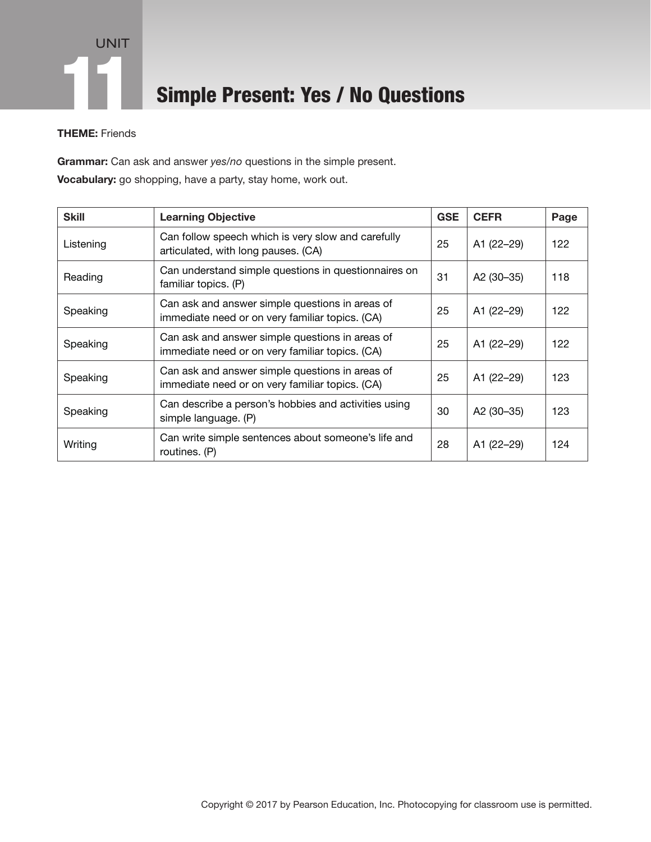

### Simple Present: Yes / No Questions

### THEME: Friends

Grammar: Can ask and answer *yes/no* questions in the simple present. Vocabulary: go shopping, have a party, stay home, work out.

| <b>Skill</b> | <b>Learning Objective</b>                                                                          | <b>GSE</b> | <b>CEFR</b>            | Page |
|--------------|----------------------------------------------------------------------------------------------------|------------|------------------------|------|
| Listening    | Can follow speech which is very slow and carefully<br>articulated, with long pauses. (CA)          | 25         | A1 (22–29)             | 122  |
| Reading      | Can understand simple questions in questionnaires on<br>familiar topics. (P)                       | 31         | A2 (30-35)             | 118  |
| Speaking     | Can ask and answer simple questions in areas of<br>immediate need or on very familiar topics. (CA) | 25         | A1 (22-29)             | 122  |
| Speaking     | Can ask and answer simple questions in areas of<br>immediate need or on very familiar topics. (CA) | 25         | A1 (22-29)             | 122  |
| Speaking     | Can ask and answer simple questions in areas of<br>immediate need or on very familiar topics. (CA) | 25         | A1 (22-29)             | 123  |
| Speaking     | Can describe a person's hobbies and activities using<br>simple language. (P)                       | 30         | A <sub>2</sub> (30-35) | 123  |
| Writing      | Can write simple sentences about someone's life and<br>routines. (P)                               | 28         | A1 (22-29)             | 124  |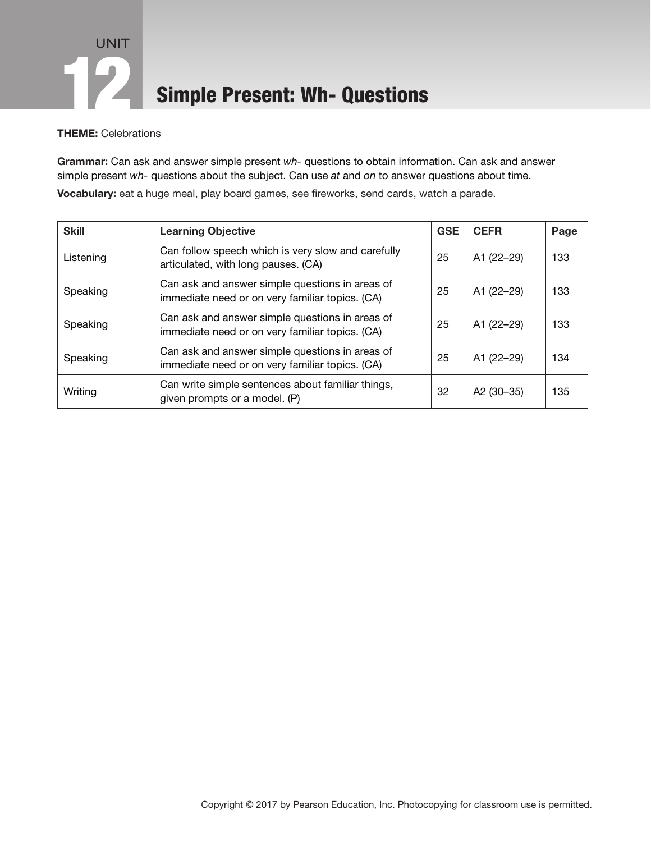## UNIT **12 Simple Present: Wh- Questions**

THEME: Celebrations

Grammar: Can ask and answer simple present *wh-* questions to obtain information. Can ask and answer simple present *wh-* questions about the subject. Can use *at* and *on* to answer questions about time.

Vocabulary: eat a huge meal, play board games, see fireworks, send cards, watch a parade.

| <b>Skill</b> | <b>Learning Objective</b>                                                                          | <b>GSE</b> | <b>CEFR</b>            | Page |
|--------------|----------------------------------------------------------------------------------------------------|------------|------------------------|------|
| Listening    | Can follow speech which is very slow and carefully<br>articulated, with long pauses. (CA)          | 25         | A1 (22-29)             | 133  |
| Speaking     | Can ask and answer simple questions in areas of<br>immediate need or on very familiar topics. (CA) | 25         | A1 (22-29)             | 133  |
| Speaking     | Can ask and answer simple questions in areas of<br>immediate need or on very familiar topics. (CA) | 25         | A1 (22-29)             | 133  |
| Speaking     | Can ask and answer simple questions in areas of<br>immediate need or on very familiar topics. (CA) | 25         | A1 (22-29)             | 134  |
| Writing      | Can write simple sentences about familiar things,<br>given prompts or a model. (P)                 | 32         | A <sub>2</sub> (30–35) | 135  |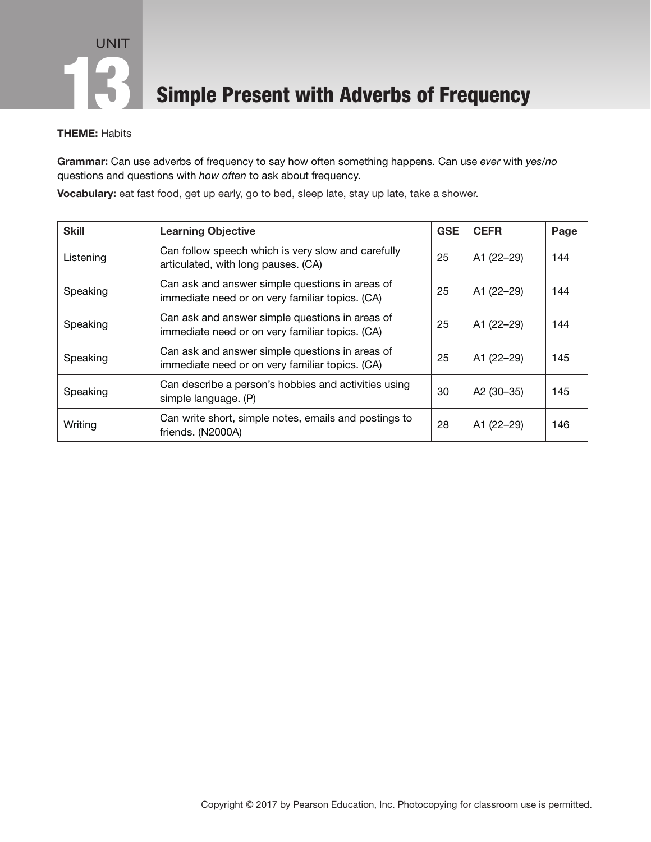**13 Simple Present with Adverbs of Frequency** 

### THEME: Habits

Grammar: Can use adverbs of frequency to say how often something happens. Can use *ever* with *yes/no* questions and questions with *how often* to ask about frequency.

Vocabulary: eat fast food, get up early, go to bed, sleep late, stay up late, take a shower.

| <b>Skill</b> | <b>Learning Objective</b>                                                                          | <b>GSE</b> | <b>CEFR</b> | Page |
|--------------|----------------------------------------------------------------------------------------------------|------------|-------------|------|
| Listening    | Can follow speech which is very slow and carefully<br>articulated, with long pauses. (CA)          | 25         | A1 (22-29)  | 144  |
| Speaking     | Can ask and answer simple questions in areas of<br>immediate need or on very familiar topics. (CA) | 25         | A1 (22-29)  | 144  |
| Speaking     | Can ask and answer simple questions in areas of<br>immediate need or on very familiar topics. (CA) | 25         | A1 (22-29)  | 144  |
| Speaking     | Can ask and answer simple questions in areas of<br>immediate need or on very familiar topics. (CA) | 25         | A1 (22-29)  | 145  |
| Speaking     | Can describe a person's hobbies and activities using<br>simple language. (P)                       | 30         | A2 (30-35)  | 145  |
| Writing      | Can write short, simple notes, emails and postings to<br>friends. (N2000A)                         | 28         | A1 (22-29)  | 146  |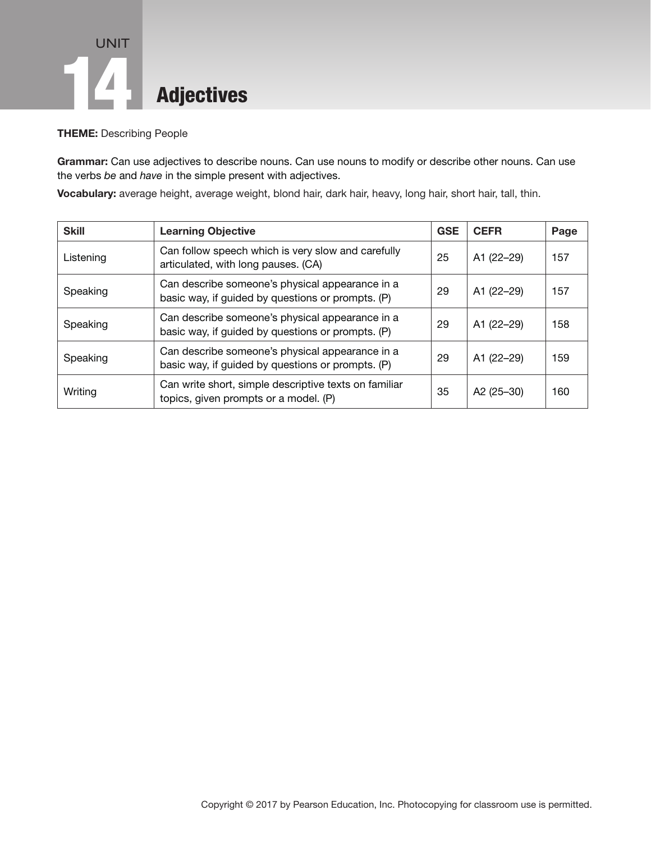## UNIT **Adjectives**

THEME: Describing People

Grammar: Can use adjectives to describe nouns. Can use nouns to modify or describe other nouns. Can use the verbs *be* and *have* in the simple present with adjectives.

Vocabulary: average height, average weight, blond hair, dark hair, heavy, long hair, short hair, tall, thin.

| <b>Skill</b> | <b>Learning Objective</b>                                                                            | <b>GSE</b> | <b>CEFR</b>            | Page |
|--------------|------------------------------------------------------------------------------------------------------|------------|------------------------|------|
| Listening    | Can follow speech which is very slow and carefully<br>articulated, with long pauses. (CA)            | 25         | A1 (22-29)             | 157  |
| Speaking     | Can describe someone's physical appearance in a<br>basic way, if guided by questions or prompts. (P) | 29         | A1 (22-29)             | 157  |
| Speaking     | Can describe someone's physical appearance in a<br>basic way, if guided by questions or prompts. (P) | 29         | A1 (22-29)             | 158  |
| Speaking     | Can describe someone's physical appearance in a<br>basic way, if guided by questions or prompts. (P) | 29         | A1 (22-29)             | 159  |
| Writing      | Can write short, simple descriptive texts on familiar<br>topics, given prompts or a model. (P)       | 35         | A <sub>2</sub> (25–30) | 160  |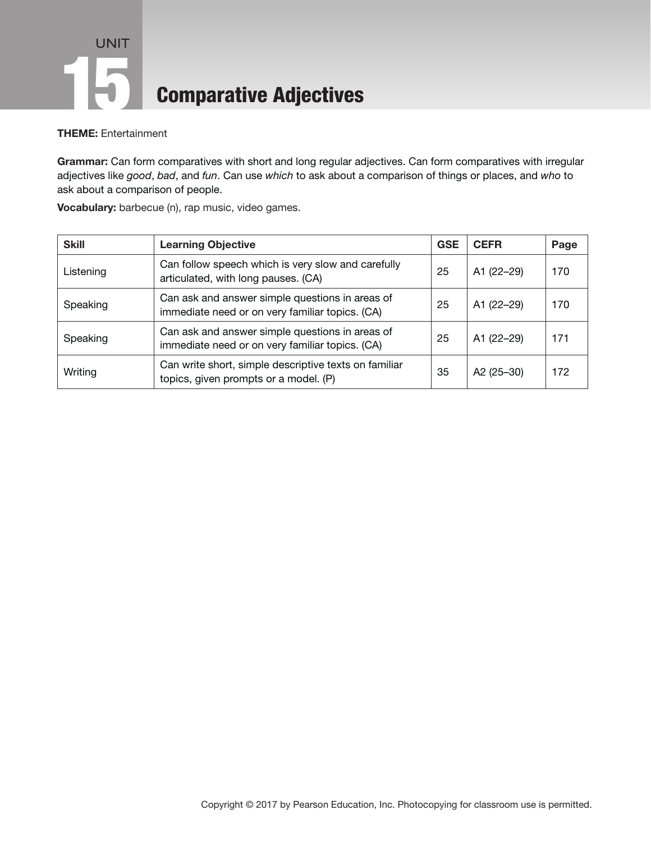## UNIT **15 Comparative Adjectives**

THEME: Entertainment

Grammar: Can form comparatives with short and long regular adjectives. Can form comparatives with irregular adjectives like *good*, *bad*, and *fun*. Can use *which* to ask about a comparison of things or places, and *who* to ask about a comparison of people.

| <b>Skill</b> | <b>Learning Objective</b>                                                                          | <b>GSE</b> | <b>CEFR</b> | Page |
|--------------|----------------------------------------------------------------------------------------------------|------------|-------------|------|
| Listening    | Can follow speech which is very slow and carefully<br>articulated, with long pauses. (CA)          | 25         | A1 (22-29)  | 170  |
| Speaking     | Can ask and answer simple questions in areas of<br>immediate need or on very familiar topics. (CA) | 25         | A1 (22-29)  | 170  |
| Speaking     | Can ask and answer simple questions in areas of<br>immediate need or on very familiar topics. (CA) | 25         | A1 (22-29)  | 171  |
| Writing      | Can write short, simple descriptive texts on familiar<br>topics, given prompts or a model. (P)     | 35         | A2 (25-30)  | 172  |

Vocabulary: barbecue (n), rap music, video games.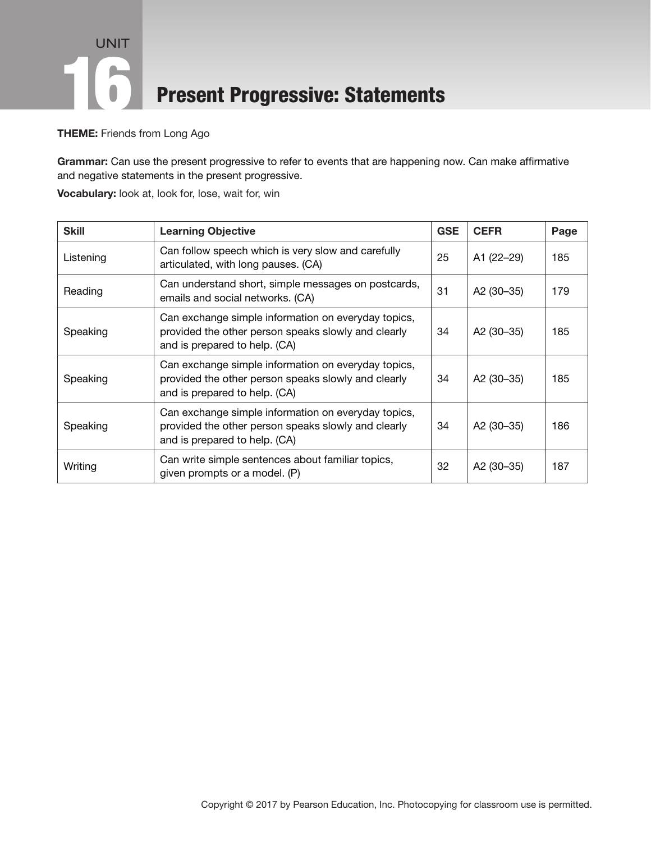## UNIT **16 Present Progressive: Statements**

THEME: Friends from Long Ago

Grammar: Can use the present progressive to refer to events that are happening now. Can make affirmative and negative statements in the present progressive.

Vocabulary: look at, look for, lose, wait for, win

| <b>Skill</b> | <b>Learning Objective</b>                                                                                                                   | <b>GSE</b> | <b>CEFR</b>            | Page |
|--------------|---------------------------------------------------------------------------------------------------------------------------------------------|------------|------------------------|------|
| Listening    | Can follow speech which is very slow and carefully<br>articulated, with long pauses. (CA)                                                   | 25         | A1 (22-29)             | 185  |
| Reading      | Can understand short, simple messages on postcards,<br>emails and social networks. (CA)                                                     | 31         | A2 (30-35)             | 179  |
| Speaking     | Can exchange simple information on everyday topics,<br>provided the other person speaks slowly and clearly<br>and is prepared to help. (CA) | 34         | A <sub>2</sub> (30-35) | 185  |
| Speaking     | Can exchange simple information on everyday topics,<br>provided the other person speaks slowly and clearly<br>and is prepared to help. (CA) | 34         | A2 (30-35)             | 185  |
| Speaking     | Can exchange simple information on everyday topics,<br>provided the other person speaks slowly and clearly<br>and is prepared to help. (CA) | 34         | A2 (30-35)             | 186  |
| Writing      | Can write simple sentences about familiar topics,<br>given prompts or a model. (P)                                                          | 32         | A2 (30-35)             | 187  |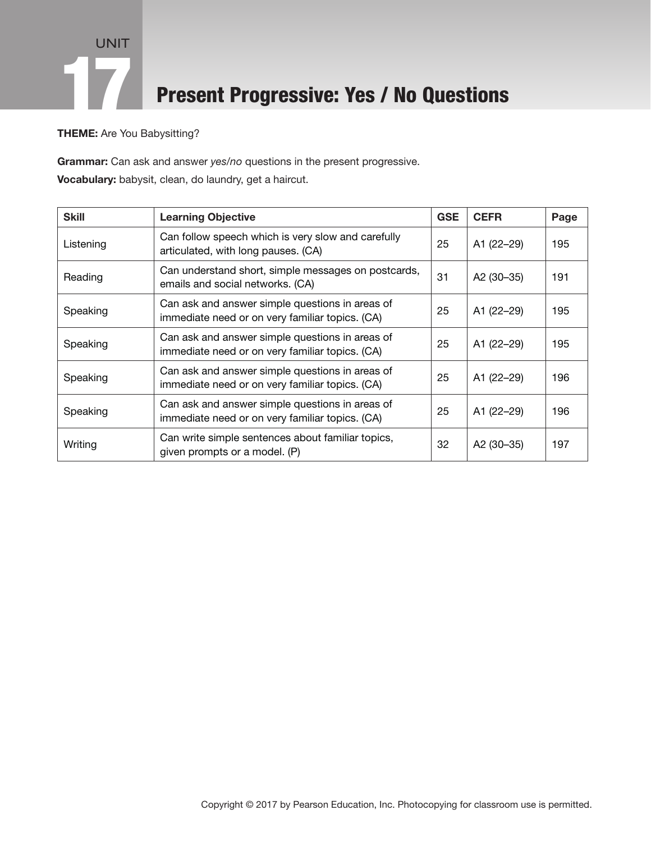

### **Present Progressive: Yes / No Questions**

THEME: Are You Babysitting?

Grammar: Can ask and answer *yes/no* questions in the present progressive. Vocabulary: babysit, clean, do laundry, get a haircut.

| <b>Skill</b> | <b>Learning Objective</b>                                                                          | <b>GSE</b> | <b>CEFR</b> | Page |
|--------------|----------------------------------------------------------------------------------------------------|------------|-------------|------|
| Listening    | Can follow speech which is very slow and carefully<br>articulated, with long pauses. (CA)          | 25         | A1 (22-29)  | 195  |
| Reading      | Can understand short, simple messages on postcards,<br>emails and social networks. (CA)            | 31         | A2 (30-35)  | 191  |
| Speaking     | Can ask and answer simple questions in areas of<br>immediate need or on very familiar topics. (CA) | 25         | A1 (22-29)  | 195  |
| Speaking     | Can ask and answer simple questions in areas of<br>immediate need or on very familiar topics. (CA) | 25         | A1 (22-29)  | 195  |
| Speaking     | Can ask and answer simple questions in areas of<br>immediate need or on very familiar topics. (CA) | 25         | A1 (22-29)  | 196  |
| Speaking     | Can ask and answer simple questions in areas of<br>immediate need or on very familiar topics. (CA) | 25         | A1 (22-29)  | 196  |
| Writing      | Can write simple sentences about familiar topics,<br>given prompts or a model. (P)                 | 32         | A2 (30-35)  | 197  |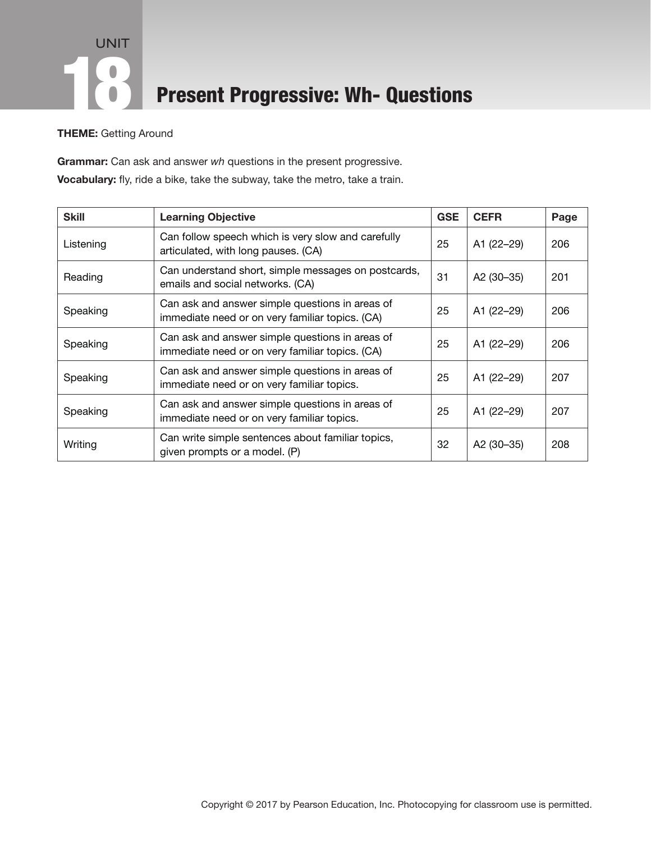## UNIT **18 Present Progressive: Wh- Questions**

THEME: Getting Around

Grammar: Can ask and answer *wh* questions in the present progressive. Vocabulary: fly, ride a bike, take the subway, take the metro, take a train.

| <b>Skill</b> | <b>Learning Objective</b>                                                                          | <b>GSE</b> | <b>CEFR</b>            | Page |
|--------------|----------------------------------------------------------------------------------------------------|------------|------------------------|------|
| Listening    | Can follow speech which is very slow and carefully<br>articulated, with long pauses. (CA)          | 25         | A1 (22-29)             | 206  |
| Reading      | Can understand short, simple messages on postcards,<br>emails and social networks. (CA)            | 31         | A <sub>2</sub> (30–35) | 201  |
| Speaking     | Can ask and answer simple questions in areas of<br>immediate need or on very familiar topics. (CA) | 25         | A1 (22-29)             | 206  |
| Speaking     | Can ask and answer simple questions in areas of<br>immediate need or on very familiar topics. (CA) | 25         | A1 (22-29)             | 206  |
| Speaking     | Can ask and answer simple questions in areas of<br>immediate need or on very familiar topics.      | 25         | A1 (22-29)             | 207  |
| Speaking     | Can ask and answer simple questions in areas of<br>immediate need or on very familiar topics.      | 25         | A1 (22-29)             | 207  |
| Writing      | Can write simple sentences about familiar topics,<br>given prompts or a model. (P)                 | 32         | A <sub>2</sub> (30–35) | 208  |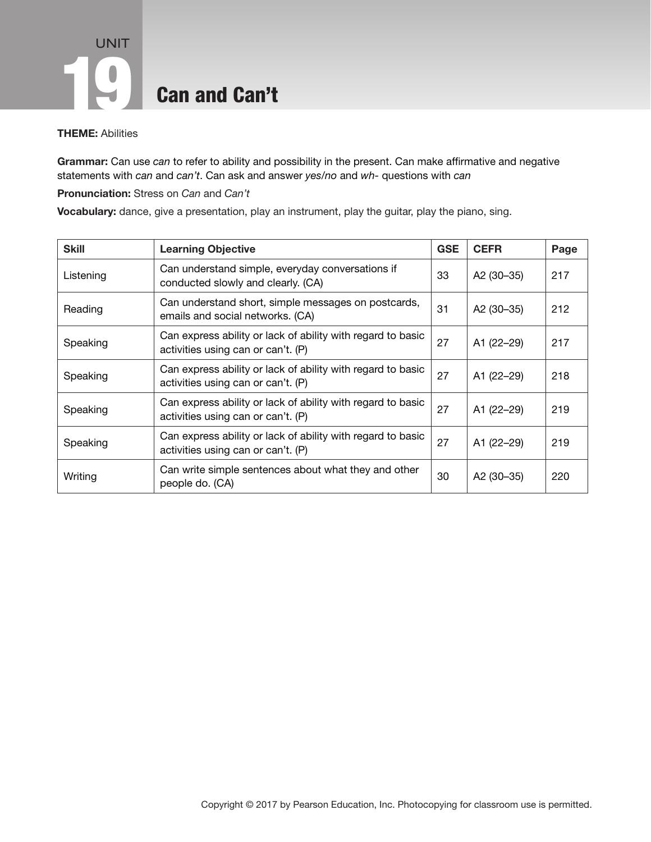# UNIT **19 Can and Can't**

#### THEME: Abilities

Grammar: Can use *can* to refer to ability and possibility in the present. Can make affirmative and negative statements with *can* and *can't*. Can ask and answer *yes/no* and *wh-* questions with *can*

Pronunciation: Stress on *Can* and *Can't*

Vocabulary: dance, give a presentation, play an instrument, play the guitar, play the piano, sing.

| <b>Skill</b> | <b>Learning Objective</b>                                                                         | <b>GSE</b> | <b>CEFR</b> | Page |
|--------------|---------------------------------------------------------------------------------------------------|------------|-------------|------|
| Listening    | Can understand simple, everyday conversations if<br>conducted slowly and clearly. (CA)            | 33         | A2 (30-35)  | 217  |
| Reading      | Can understand short, simple messages on postcards,<br>emails and social networks. (CA)           | 31         | A2 (30-35)  | 212  |
| Speaking     | Can express ability or lack of ability with regard to basic<br>activities using can or can't. (P) | 27         | A1 (22-29)  | 217  |
| Speaking     | Can express ability or lack of ability with regard to basic<br>activities using can or can't. (P) | 27         | A1 (22-29)  | 218  |
| Speaking     | Can express ability or lack of ability with regard to basic<br>activities using can or can't. (P) | 27         | A1 (22-29)  | 219  |
| Speaking     | Can express ability or lack of ability with regard to basic<br>activities using can or can't. (P) | 27         | A1 (22-29)  | 219  |
| Writing      | Can write simple sentences about what they and other<br>people do. (CA)                           | 30         | A2 (30-35)  | 220  |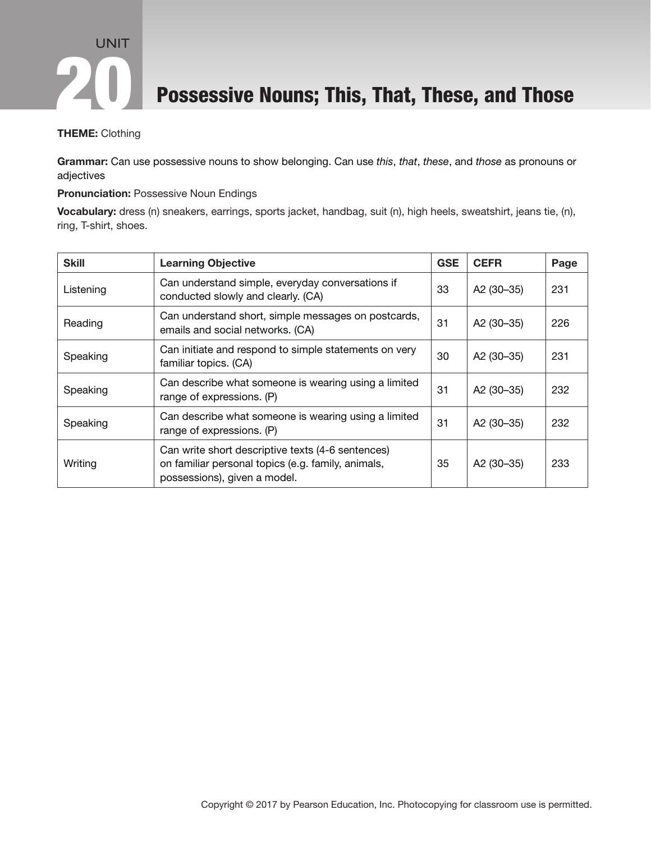

Possessive Nouns; This, That, These, and Those

#### THEME: Clothing

Grammar: Can use possessive nouns to show belonging. Can use *this*, *that*, *these*, and *those* as pronouns or adjectives

#### Pronunciation: Possessive Noun Endings

Vocabulary: dress (n) sneakers, earrings, sports jacket, handbag, suit (n), high heels, sweatshirt, jeans tie, (n), ring, T-shirt, shoes.

| <b>Skill</b> | <b>Learning Objective</b>                                                                                                               | <b>GSE</b> | <b>CEFR</b> | Page |
|--------------|-----------------------------------------------------------------------------------------------------------------------------------------|------------|-------------|------|
| Listening    | Can understand simple, everyday conversations if<br>conducted slowly and clearly. (CA)                                                  | 33         | A2 (30-35)  | 231  |
| Reading      | Can understand short, simple messages on postcards,<br>emails and social networks. (CA)                                                 | 31         | A2 (30-35)  | 226  |
| Speaking     | Can initiate and respond to simple statements on very<br>familiar topics. (CA)                                                          | 30         | A2 (30-35)  | 231  |
| Speaking     | Can describe what someone is wearing using a limited<br>range of expressions. (P)                                                       | 31         | A2 (30-35)  | 232  |
| Speaking     | Can describe what someone is wearing using a limited<br>range of expressions. (P)                                                       | 31         | A2 (30-35)  | 232  |
| Writing      | Can write short descriptive texts (4-6 sentences)<br>on familiar personal topics (e.g. family, animals,<br>possessions), given a model. | 35         | A2 (30-35)  | 233  |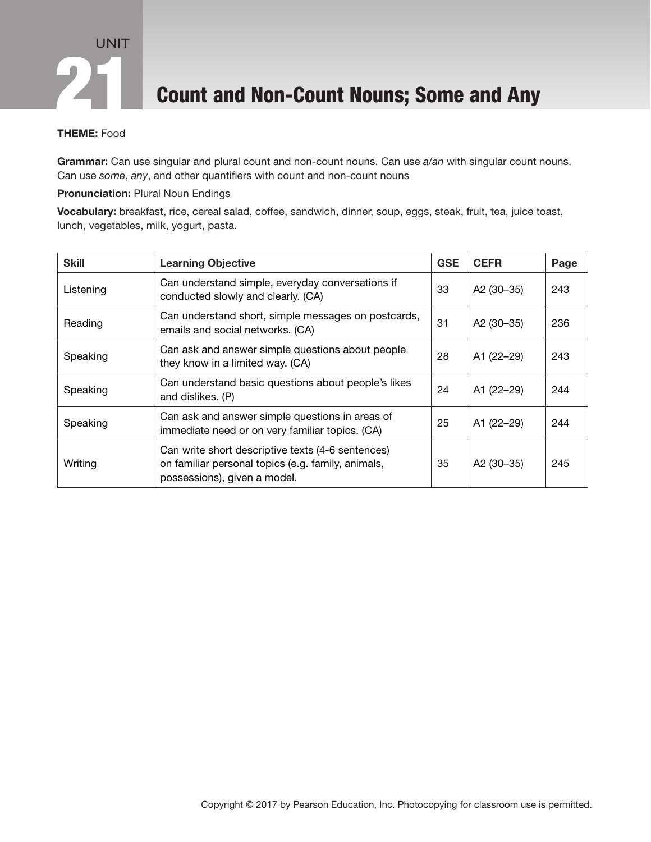### **Count and Non-Count Nouns; Some and Any**

### THEME: Food

Grammar: Can use singular and plural count and non-count nouns. Can use *a/an* with singular count nouns. Can use *some*, *any*, and other quantifiers with count and non-count nouns

### **Pronunciation: Plural Noun Endings**

Vocabulary: breakfast, rice, cereal salad, coffee, sandwich, dinner, soup, eggs, steak, fruit, tea, juice toast, lunch, vegetables, milk, yogurt, pasta.

| <b>Skill</b> | <b>Learning Objective</b>                                                                                                               | <b>GSE</b> | <b>CEFR</b>            | Page |
|--------------|-----------------------------------------------------------------------------------------------------------------------------------------|------------|------------------------|------|
| Listening    | Can understand simple, everyday conversations if<br>conducted slowly and clearly. (CA)                                                  | 33         | A2 (30-35)             | 243  |
| Reading      | Can understand short, simple messages on postcards,<br>emails and social networks. (CA)                                                 | 31         | A2 (30-35)             | 236  |
| Speaking     | Can ask and answer simple questions about people<br>they know in a limited way. (CA)                                                    | 28         | A1 (22-29)             | 243  |
| Speaking     | Can understand basic questions about people's likes<br>and dislikes. (P)                                                                | 24         | A1 (22-29)             | 244  |
| Speaking     | Can ask and answer simple questions in areas of<br>immediate need or on very familiar topics. (CA)                                      | 25         | A1 (22-29)             | 244  |
| Writing      | Can write short descriptive texts (4-6 sentences)<br>on familiar personal topics (e.g. family, animals,<br>possessions), given a model. | 35         | A <sub>2</sub> (30–35) | 245  |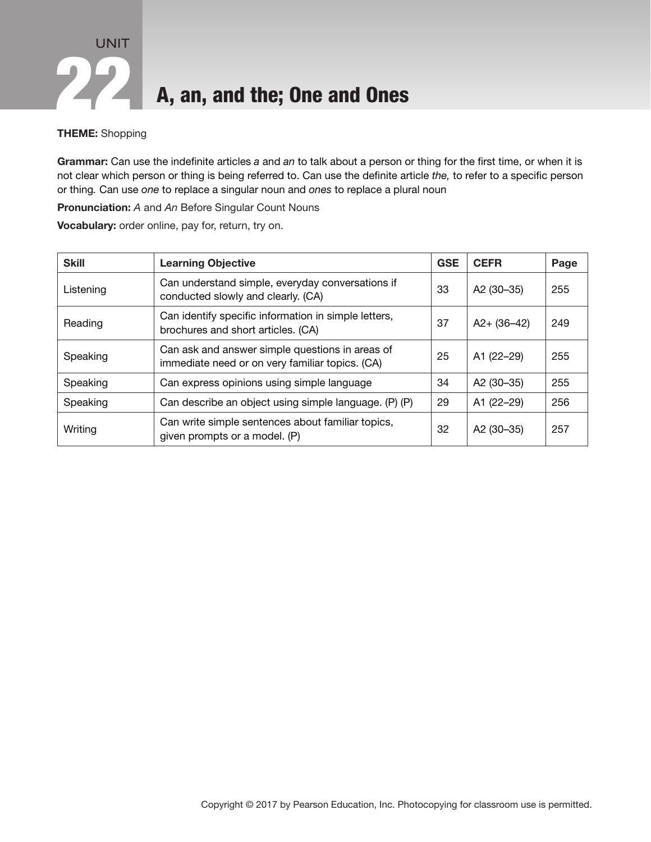

#### THEME: Shopping

Grammar: Can use the indefinite articles *a* and *an* to talk about a person or thing for the first time, or when it is not clear which person or thing is being referred to. Can use the definite article *the,* to refer to a specific person or thing*.* Can use *one* to replace a singular noun and *ones* to replace a plural noun

Pronunciation: *A* and *An* Before Singular Count Nouns

Vocabulary: order online, pay for, return, try on.

| <b>Skill</b> | <b>Learning Objective</b>                                                                          | <b>GSE</b> | <b>CEFR</b>            | Page |
|--------------|----------------------------------------------------------------------------------------------------|------------|------------------------|------|
| Listening    | Can understand simple, everyday conversations if<br>conducted slowly and clearly. (CA)             | 33         | A2 (30-35)             | 255  |
| Reading      | Can identify specific information in simple letters,<br>brochures and short articles. (CA)         | 37         | $A2 + (36 - 42)$       | 249  |
| Speaking     | Can ask and answer simple questions in areas of<br>immediate need or on very familiar topics. (CA) | 25         | A1 (22-29)             | 255  |
| Speaking     | Can express opinions using simple language                                                         | 34         | A <sub>2</sub> (30–35) | 255  |
| Speaking     | Can describe an object using simple language. (P) (P)                                              | 29         | A1 (22-29)             | 256  |
| Writing      | Can write simple sentences about familiar topics,<br>given prompts or a model. (P)                 | 32         | A2 (30-35)             | 257  |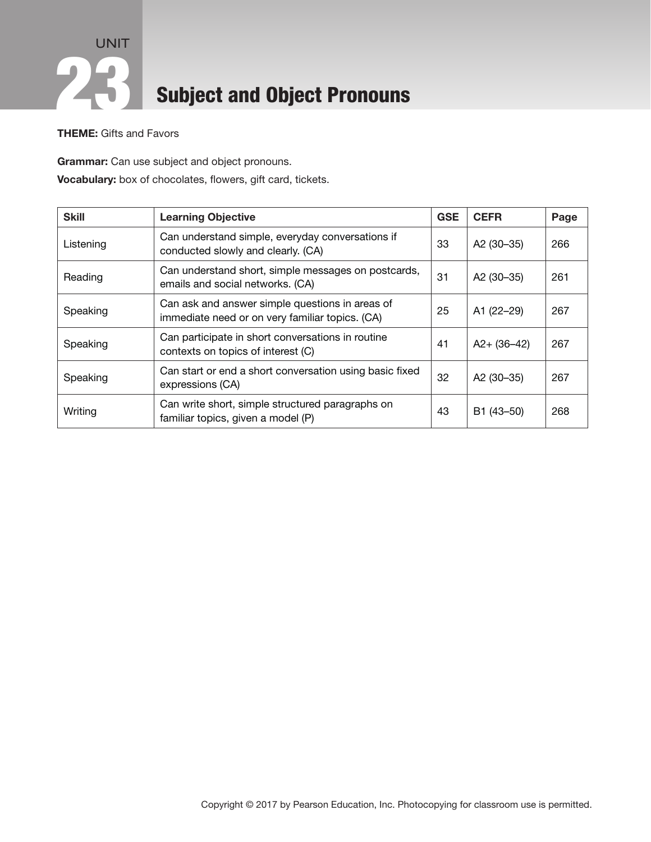### UNIT **223** Subject and Object Pronouns

THEME: Gifts and Favors

Grammar: Can use subject and object pronouns. Vocabulary: box of chocolates, flowers, gift card, tickets.

| <b>Skill</b> | <b>Learning Objective</b>                                                                          | <b>GSE</b> | <b>CEFR</b>      | Page |
|--------------|----------------------------------------------------------------------------------------------------|------------|------------------|------|
| Listening    | Can understand simple, everyday conversations if<br>conducted slowly and clearly. (CA)             | 33         | A2 $(30-35)$     | 266  |
| Reading      | Can understand short, simple messages on postcards,<br>emails and social networks. (CA)            | 31         | A2 (30-35)       | 261  |
| Speaking     | Can ask and answer simple questions in areas of<br>immediate need or on very familiar topics. (CA) | 25         | A1 (22-29)       | 267  |
| Speaking     | Can participate in short conversations in routine<br>contexts on topics of interest (C)            | 41         | $A2 + (36 - 42)$ | 267  |
| Speaking     | Can start or end a short conversation using basic fixed<br>expressions (CA)                        | 32         | A2 (30-35)       | 267  |
| Writing      | Can write short, simple structured paragraphs on<br>familiar topics, given a model (P)             | 43         | B1 (43-50)       | 268  |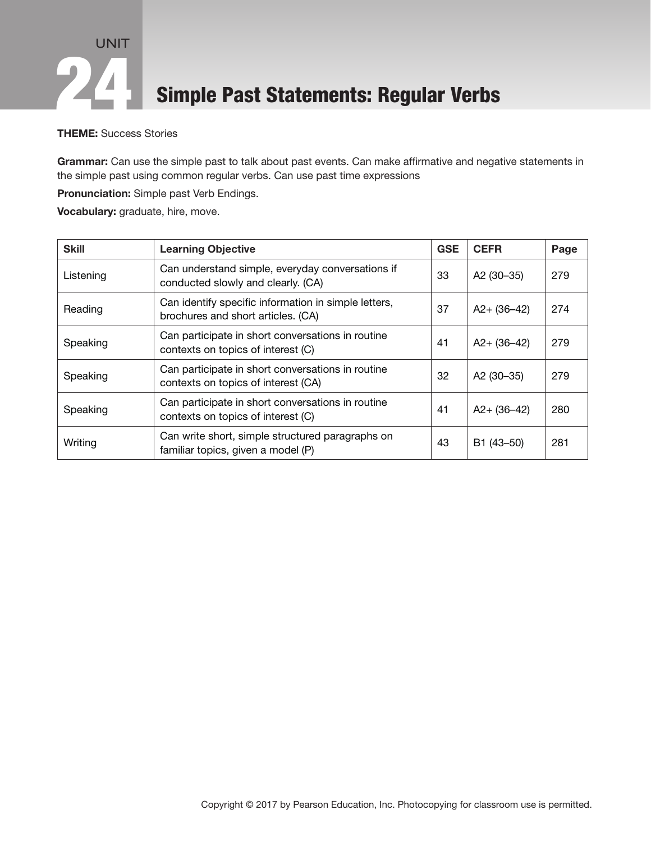### UNIT Simple Past Statements: Regular Verbs

### THEME: Success Stories

Grammar: Can use the simple past to talk about past events. Can make affirmative and negative statements in the simple past using common regular verbs. Can use past time expressions

Pronunciation: Simple past Verb Endings.

Vocabulary: graduate, hire, move.

| <b>Skill</b> | <b>Learning Objective</b>                                                                  | <b>GSE</b> | <b>CEFR</b>      | Page |
|--------------|--------------------------------------------------------------------------------------------|------------|------------------|------|
| Listening    | Can understand simple, everyday conversations if<br>conducted slowly and clearly. (CA)     | 33         | A2 (30-35)       | 279  |
| Reading      | Can identify specific information in simple letters,<br>brochures and short articles. (CA) | 37         | $A2 + (36 - 42)$ | 274  |
| Speaking     | Can participate in short conversations in routine<br>contexts on topics of interest (C)    | 41         | $A2 + (36 - 42)$ | 279  |
| Speaking     | Can participate in short conversations in routine<br>contexts on topics of interest (CA)   | 32         | A2 (30-35)       | 279  |
| Speaking     | Can participate in short conversations in routine<br>contexts on topics of interest (C)    | 41         | $A2 + (36 - 42)$ | 280  |
| Writing      | Can write short, simple structured paragraphs on<br>familiar topics, given a model (P)     | 43         | B1 (43-50)       | 281  |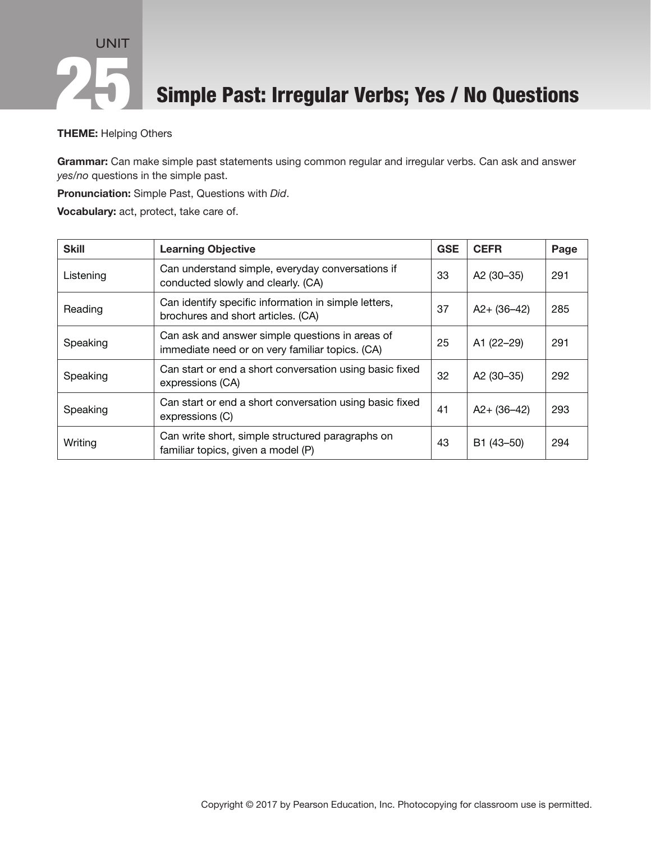### UNIT Simple Past: Irregular Verbs; Yes / No Questions

#### THEME: Helping Others

Grammar: Can make simple past statements using common regular and irregular verbs. Can ask and answer *yes/no* questions in the simple past.

Pronunciation: Simple Past, Questions with *Did*.

Vocabulary: act, protect, take care of.

| <b>Skill</b> | <b>Learning Objective</b>                                                                          | <b>GSE</b> | <b>CEFR</b>      | Page |
|--------------|----------------------------------------------------------------------------------------------------|------------|------------------|------|
| Listening    | Can understand simple, everyday conversations if<br>conducted slowly and clearly. (CA)             | 33         | A2 (30-35)       | 291  |
| Reading      | Can identify specific information in simple letters,<br>brochures and short articles. (CA)         | 37         | $A2 + (36 - 42)$ | 285  |
| Speaking     | Can ask and answer simple questions in areas of<br>immediate need or on very familiar topics. (CA) | 25         | A1 (22-29)       | 291  |
| Speaking     | Can start or end a short conversation using basic fixed<br>expressions (CA)                        | 32         | A2 (30-35)       | 292  |
| Speaking     | Can start or end a short conversation using basic fixed<br>expressions (C)                         | 41         | $A2 + (36 - 42)$ | 293  |
| Writing      | Can write short, simple structured paragraphs on<br>familiar topics, given a model (P)             | 43         | B1 (43-50)       | 294  |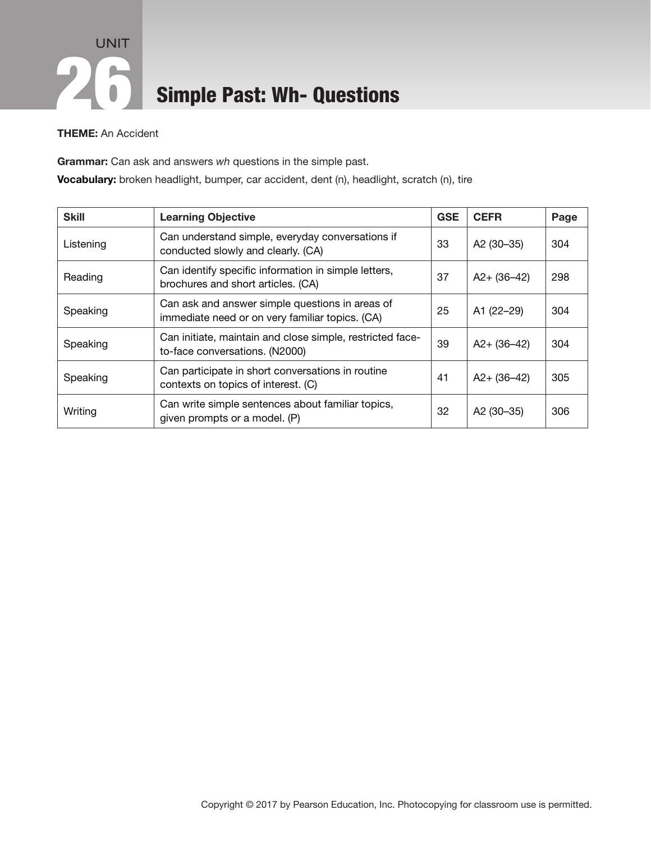### UNIT **26 Simple Past: Wh- Questions**

### THEME: An Accident

Grammar: Can ask and answers *wh* questions in the simple past.

Vocabulary: broken headlight, bumper, car accident, dent (n), headlight, scratch (n), tire

| <b>Skill</b> | <b>Learning Objective</b>                                                                          | <b>GSE</b> | <b>CEFR</b>            | Page |
|--------------|----------------------------------------------------------------------------------------------------|------------|------------------------|------|
| Listening    | Can understand simple, everyday conversations if<br>conducted slowly and clearly. (CA)             | 33         | A2 (30-35)             | 304  |
| Reading      | Can identify specific information in simple letters,<br>brochures and short articles. (CA)         | 37         | $A2 + (36 - 42)$       | 298  |
| Speaking     | Can ask and answer simple questions in areas of<br>immediate need or on very familiar topics. (CA) | 25         | A1 (22-29)             | 304  |
| Speaking     | Can initiate, maintain and close simple, restricted face-<br>to-face conversations. (N2000)        | 39         | $A2 + (36 - 42)$       | 304  |
| Speaking     | Can participate in short conversations in routine<br>contexts on topics of interest. (C)           | 41         | $A2 + (36 - 42)$       | 305  |
| Writing      | Can write simple sentences about familiar topics,<br>given prompts or a model. (P)                 | 32         | A <sub>2</sub> (30–35) | 306  |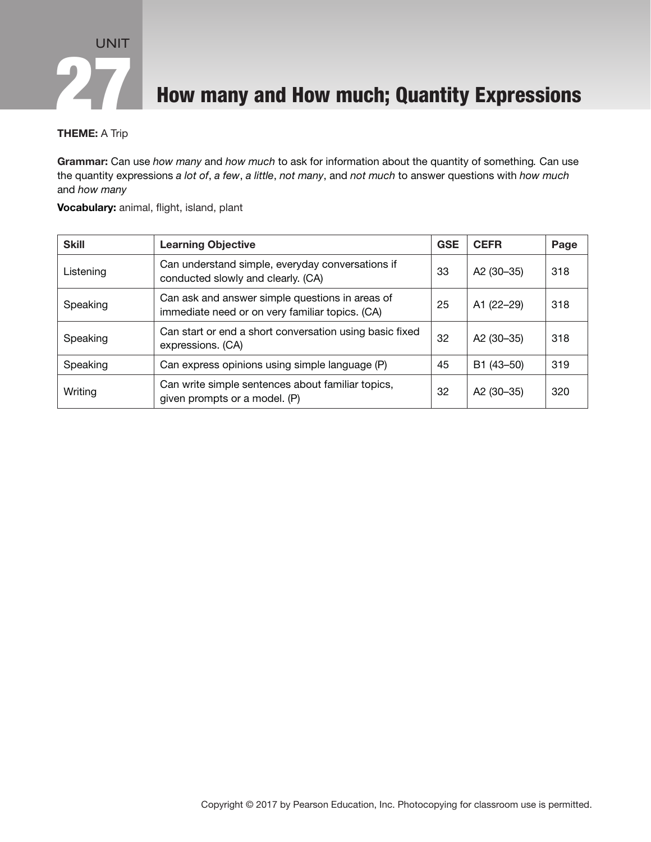

**How many and How much; Quantity Expressions** 

#### THEME: A Trip

Grammar: Can use *how many* and *how much* to ask for information about the quantity of something*.* Can use the quantity expressions *a lot of*, *a few*, *a little*, *not many*, and *not much* to answer questions with *how much*  and *how many*

#### Vocabulary: animal, flight, island, plant

| <b>Skill</b> | <b>Learning Objective</b>                                                                          | <b>GSE</b> | <b>CEFR</b>            | Page |
|--------------|----------------------------------------------------------------------------------------------------|------------|------------------------|------|
| Listening    | Can understand simple, everyday conversations if<br>conducted slowly and clearly. (CA)             | 33         | A <sub>2</sub> (30-35) | 318  |
| Speaking     | Can ask and answer simple questions in areas of<br>immediate need or on very familiar topics. (CA) | 25         | A1 (22-29)             | 318  |
| Speaking     | Can start or end a short conversation using basic fixed<br>expressions. (CA)                       | 32         | A2 (30-35)             | 318  |
| Speaking     | Can express opinions using simple language (P)                                                     | 45         | B1 (43-50)             | 319  |
| Writing      | Can write simple sentences about familiar topics,<br>given prompts or a model. (P)                 | 32         | A2 (30-35)             | 320  |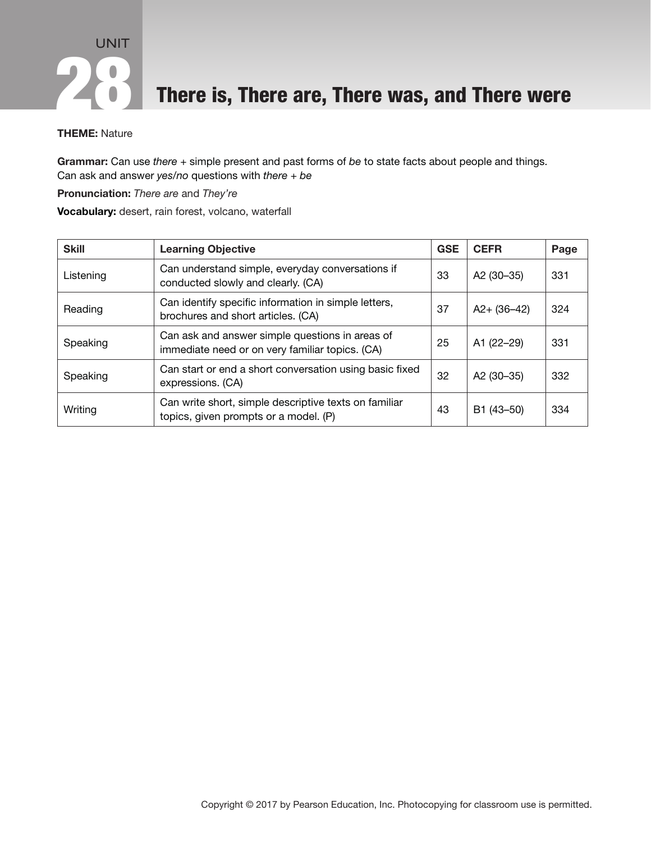**28 There is, There are, There was, and There were** 

#### THEME: Nature

Grammar: Can use *there* + simple present and past forms of *be* to state facts about people and things. Can ask and answer *yes/no* questions with *there* + *be*

Pronunciation: *There are* and *They're*

Vocabulary: desert, rain forest, volcano, waterfall

| <b>Skill</b> | <b>Learning Objective</b>                                                                          | <b>GSE</b> | <b>CEFR</b>      | Page |
|--------------|----------------------------------------------------------------------------------------------------|------------|------------------|------|
| Listening    | Can understand simple, everyday conversations if<br>conducted slowly and clearly. (CA)             | 33         | A2 (30-35)       | 331  |
| Reading      | Can identify specific information in simple letters,<br>brochures and short articles. (CA)         | 37         | $A2 + (36 - 42)$ | 324  |
| Speaking     | Can ask and answer simple questions in areas of<br>immediate need or on very familiar topics. (CA) | 25         | A1 (22-29)       | 331  |
| Speaking     | Can start or end a short conversation using basic fixed<br>expressions. (CA)                       | 32         | A2 (30-35)       | 332  |
| Writing      | Can write short, simple descriptive texts on familiar<br>topics, given prompts or a model. (P)     | 43         | B1 (43-50)       | 334  |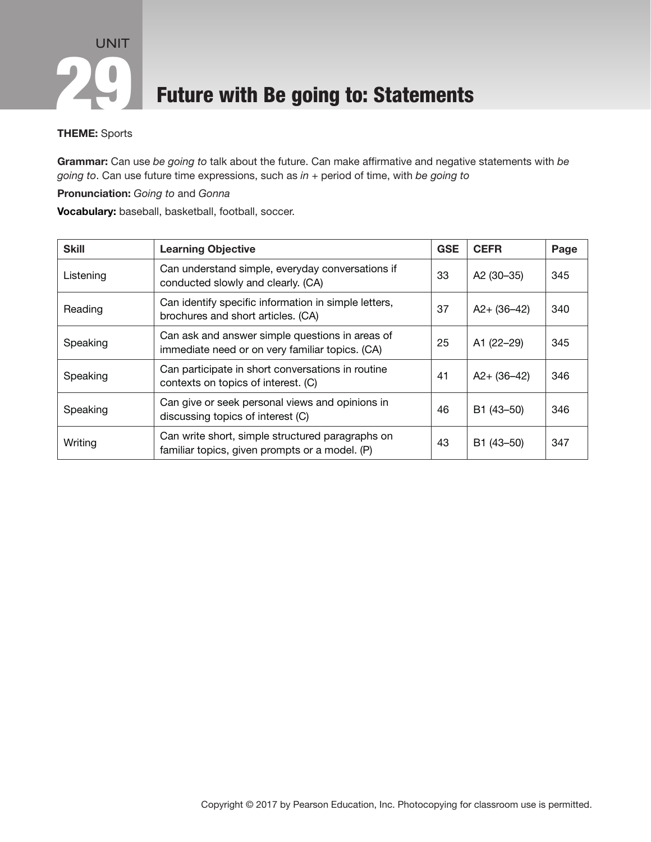

### Future with Be going to: Statements

#### THEME: Sports

Grammar: Can use *be going to* talk about the future. Can make affirmative and negative statements with *be going to*. Can use future time expressions, such as *in* + period of time, with *be going to*

Pronunciation: *Going to* and *Gonna*

Vocabulary: baseball, basketball, football, soccer.

| <b>Skill</b> | <b>Learning Objective</b>                                                                          | <b>GSE</b> | <b>CEFR</b>      | Page |
|--------------|----------------------------------------------------------------------------------------------------|------------|------------------|------|
| Listening    | Can understand simple, everyday conversations if<br>conducted slowly and clearly. (CA)             | 33         | A2 (30-35)       | 345  |
| Reading      | Can identify specific information in simple letters,<br>brochures and short articles. (CA)         | 37         | $A2 + (36 - 42)$ | 340  |
| Speaking     | Can ask and answer simple questions in areas of<br>immediate need or on very familiar topics. (CA) | 25         | A1 (22-29)       | 345  |
| Speaking     | Can participate in short conversations in routine<br>contexts on topics of interest. (C)           | 41         | $A2 + (36 - 42)$ | 346  |
| Speaking     | Can give or seek personal views and opinions in<br>discussing topics of interest (C)               | 46         | B1 (43-50)       | 346  |
| Writing      | Can write short, simple structured paragraphs on<br>familiar topics, given prompts or a model. (P) | 43         | B1 (43-50)       | 347  |